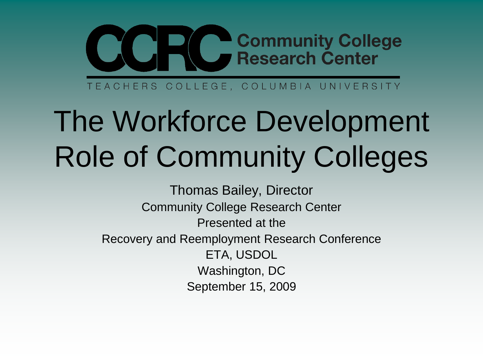

TEACHERS COLLEGE, COLUMBIA UNIVERSITY

# The Workforce Development Role of Community Colleges

Thomas Bailey, Director Community College Research Center Presented at the Recovery and Reemployment Research Conference ETA, USDOL Washington, DC September 15, 2009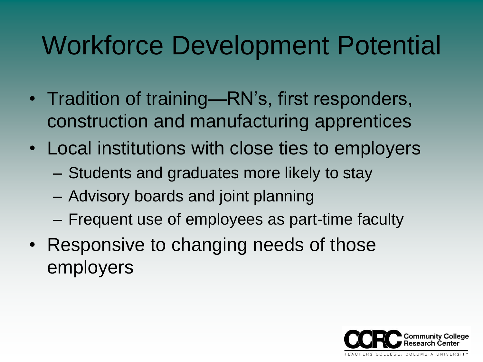# Workforce Development Potential

- Tradition of training—RN's, first responders, construction and manufacturing apprentices
- Local institutions with close ties to employers
	- Students and graduates more likely to stay
	- Advisory boards and joint planning
	- Frequent use of employees as part-time faculty
- Responsive to changing needs of those employers

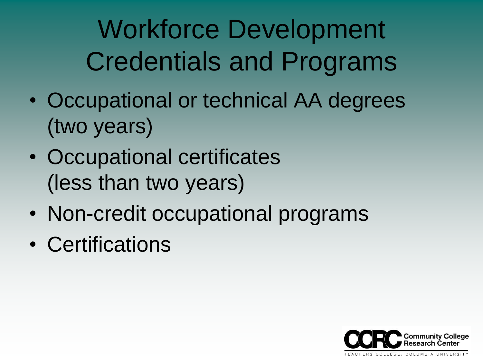Workforce Development Credentials and Programs

- Occupational or technical AA degrees (two years)
- Occupational certificates (less than two years)
- Non-credit occupational programs
- Certifications

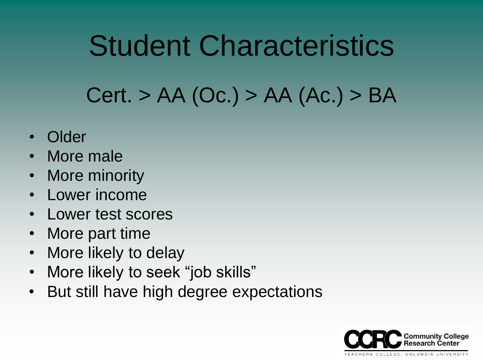# Student Characteristics Cert. > AA (Oc.) > AA (Ac.) > BA

- Older
- More male
- More minority
- Lower income
- Lower test scores
- More part time
- More likely to delay
- More likely to seek "job skills"
- But still have high degree expectations

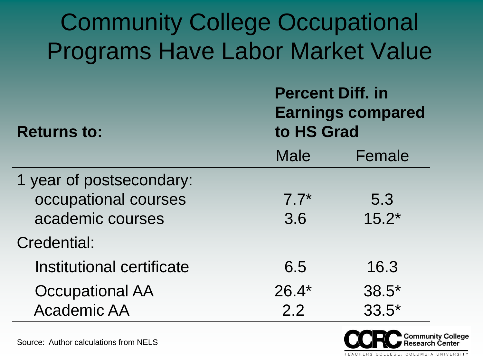| <b>Community College Occupational</b><br><b>Programs Have Labor Market Value</b> |                                                                   |         |
|----------------------------------------------------------------------------------|-------------------------------------------------------------------|---------|
| <b>Returns to:</b>                                                               | <b>Percent Diff. in</b><br><b>Earnings compared</b><br>to HS Grad |         |
|                                                                                  | Male                                                              | Female  |
| 1 year of postsecondary:                                                         |                                                                   |         |
| occupational courses                                                             | $7.7*$                                                            | 5.3     |
| academic courses                                                                 | 3.6                                                               | $15.2*$ |
| Credential:                                                                      |                                                                   |         |
| Institutional certificate                                                        | 6.5                                                               | 16.3    |
| <b>Occupational AA</b>                                                           | $26.4*$                                                           | $38.5*$ |
| <b>Academic AA</b>                                                               | 2.2                                                               | $33.5*$ |



Source: Author calculations from NELS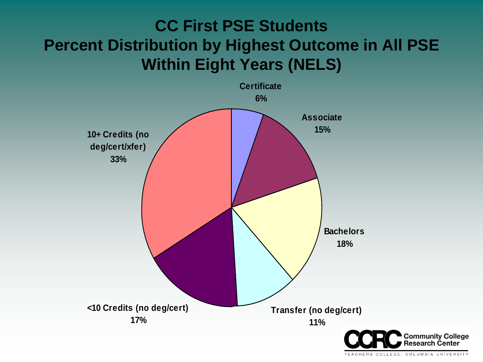#### **CC First PSE Students Percent Distribution by Highest Outcome in All PSE Within Eight Years (NELS)**



COLLEGE, COLUMBIA UNIVERSITY **TFACHERS**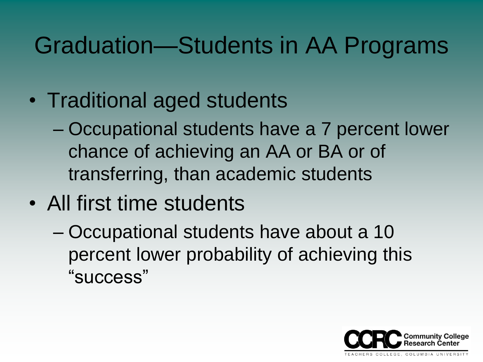### Graduation—Students in AA Programs

- Traditional aged students
	- Occupational students have a 7 percent lower chance of achieving an AA or BA or of transferring, than academic students
- All first time students
	- Occupational students have about a 10 percent lower probability of achieving this "success"

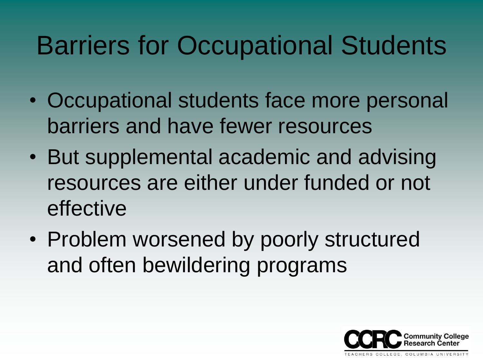# Barriers for Occupational Students

- Occupational students face more personal barriers and have fewer resources
- But supplemental academic and advising resources are either under funded or not effective
- Problem worsened by poorly structured and often bewildering programs

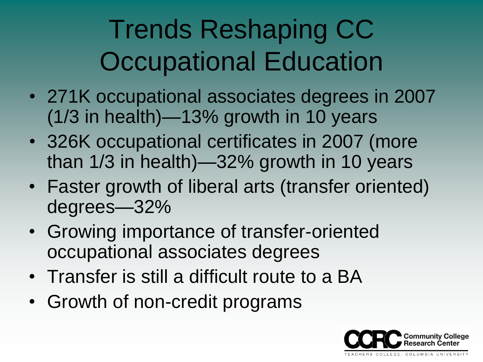# Trends Reshaping CC Occupational Education

- 271K occupational associates degrees in 2007 (1/3 in health)—13% growth in 10 years
- 326K occupational certificates in 2007 (more than 1/3 in health)—32% growth in 10 years
- Faster growth of liberal arts (transfer oriented) degrees—32%
- Growing importance of transfer-oriented occupational associates degrees
- Transfer is still a difficult route to a BA
- Growth of non-credit programs

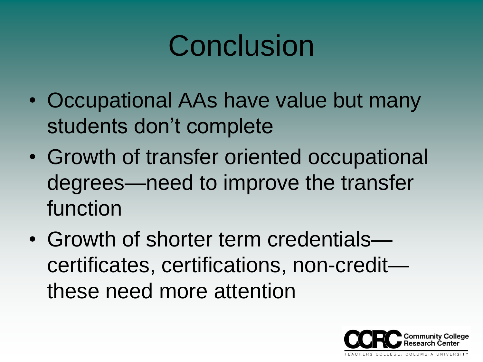# **Conclusion**

- Occupational AAs have value but many students don't complete
- Growth of transfer oriented occupational degrees—need to improve the transfer function
- Growth of shorter term credentials certificates, certifications, non-credit these need more attention